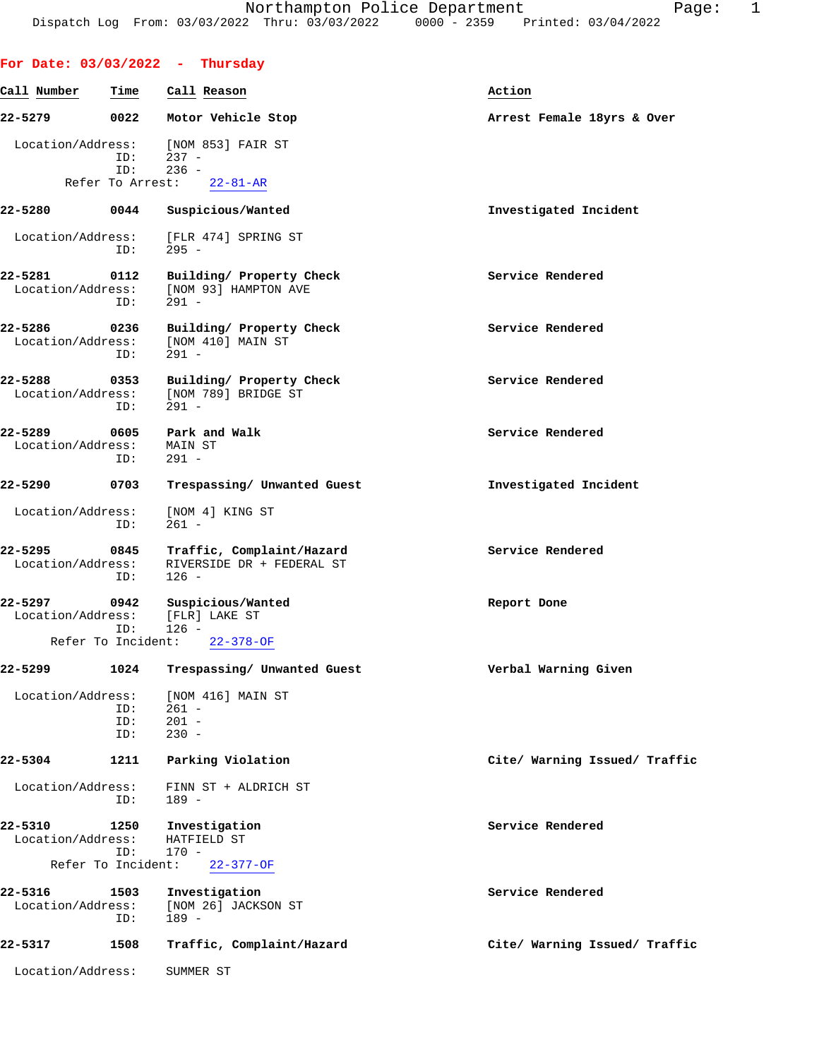|                              |                                   | For Date: $03/03/2022 - Thursday$                                 |                               |
|------------------------------|-----------------------------------|-------------------------------------------------------------------|-------------------------------|
| Call Number                  | Time                              | Call Reason                                                       | Action                        |
| 22-5279                      | 0022                              | Motor Vehicle Stop                                                | Arrest Female 18yrs & Over    |
| Location/Address:            | ID:<br>ID:                        | [NOM 853] FAIR ST<br>237 -<br>$236 -$                             |                               |
|                              | Refer To Arrest:                  | $22 - 81 - AR$                                                    |                               |
| 22-5280                      | 0044                              | Suspicious/Wanted                                                 | Investigated Incident         |
|                              | ID:                               | Location/Address: [FLR 474] SPRING ST<br>295 -                    |                               |
| 22-5281<br>Location/Address: | 0112<br>ID:                       | Building/ Property Check<br>[NOM 93] HAMPTON AVE<br>$291 -$       | Service Rendered              |
| 22-5286<br>Location/Address: | 0236<br>ID:                       | Building/ Property Check<br>[NOM 410] MAIN ST<br>$291 -$          | Service Rendered              |
| 22-5288<br>Location/Address: | 0353<br>ID:                       | Building/ Property Check<br>[NOM 789] BRIDGE ST<br>$291 -$        | Service Rendered              |
| 22-5289<br>Location/Address: | 0605<br>ID:                       | Park and Walk<br>MAIN ST<br>291 -                                 | Service Rendered              |
| 22-5290                      | 0703                              | Trespassing/ Unwanted Guest                                       | Investigated Incident         |
| Location/Address:            | ID:                               | [NOM 4] KING ST<br>$261 -$                                        |                               |
| 22-5295<br>Location/Address: | 0845<br>ID:                       | Traffic, Complaint/Hazard<br>RIVERSIDE DR + FEDERAL ST<br>$126 -$ | Service Rendered              |
| 22-5297<br>Location/Address: | 0942<br>ID:<br>Refer To Incident: | Suspicious/Wanted<br>[FLR] LAKE ST<br>126 -<br>$22 - 378 - OF$    | Report Done                   |
| 22-5299                      | 1024                              | Trespassing/ Unwanted Guest                                       | Verbal Warning Given          |
| Location/Address:            | ID:<br>ID:<br>ID:                 | [NOM 416] MAIN ST<br>$261 -$<br>$201 -$<br>$230 -$                |                               |
| 22-5304                      | 1211                              | Parking Violation                                                 | Cite/ Warning Issued/ Traffic |
| Location/Address:            | ID:                               | FINN ST + ALDRICH ST<br>$189 -$                                   |                               |
| 22-5310<br>Location/Address: | 1250<br>ID:<br>Refer To Incident: | Investigation<br>HATFIELD ST<br>$170 -$<br>$22 - 377 - OF$        | Service Rendered              |
| 22-5316<br>Location/Address: | 1503<br>ID:                       | Investigation<br>[NOM 26] JACKSON ST<br>$189 -$                   | Service Rendered              |
| 22-5317                      | 1508                              | Traffic, Complaint/Hazard                                         | Cite/ Warning Issued/ Traffic |
| Location/Address:            |                                   | SUMMER ST                                                         |                               |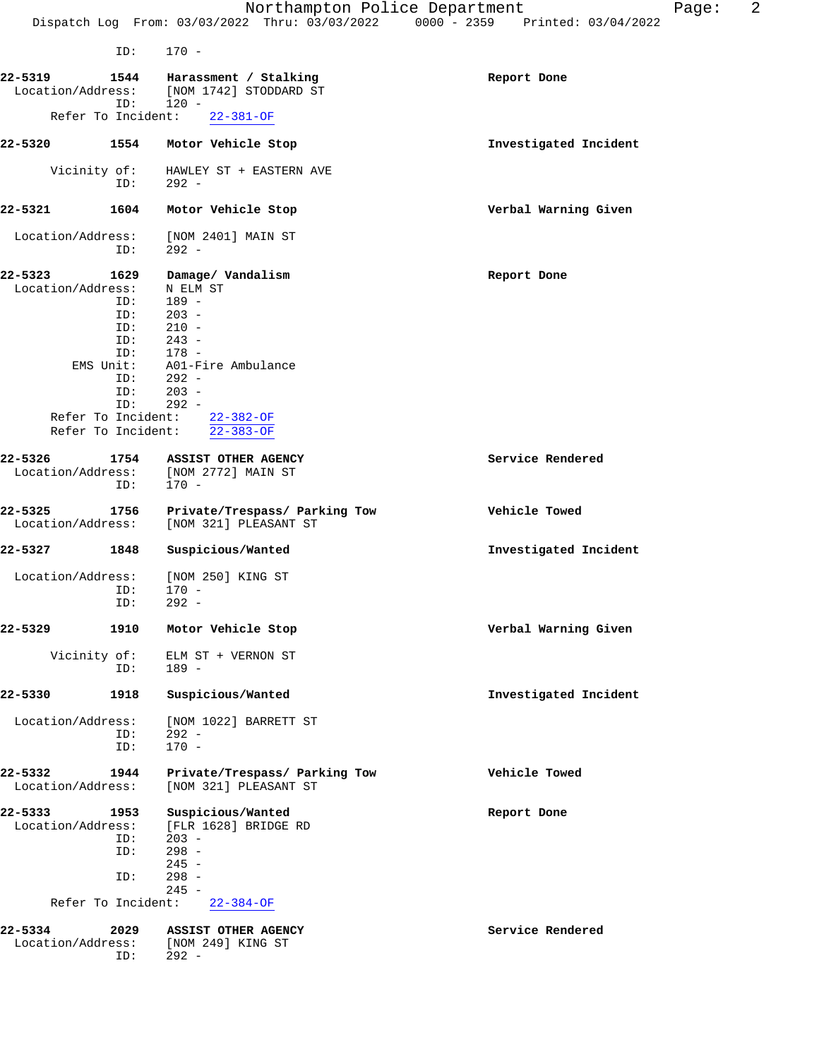| ID:                                                                                                  | $170 -$                                                                                                                                                                                   |                       |
|------------------------------------------------------------------------------------------------------|-------------------------------------------------------------------------------------------------------------------------------------------------------------------------------------------|-----------------------|
| 22-5319<br>1544<br>ID:                                                                               | Harassment / Stalking<br>Location/Address: [NOM 1742] STODDARD ST<br>$120 -$                                                                                                              | Report Done           |
|                                                                                                      | Refer To Incident: 22-381-OF                                                                                                                                                              |                       |
| 22-5320<br>1554                                                                                      | Motor Vehicle Stop                                                                                                                                                                        | Investigated Incident |
| Vicinity of:<br>ID:                                                                                  | HAWLEY ST + EASTERN AVE<br>$292 -$                                                                                                                                                        |                       |
| 22-5321<br>1604                                                                                      | Motor Vehicle Stop                                                                                                                                                                        | Verbal Warning Given  |
| Location/Address:<br>ID:                                                                             | [NOM 2401] MAIN ST<br>$292 -$                                                                                                                                                             |                       |
| 22-5323<br>1629<br>Location/Address:<br>ID:<br>ID:<br>ID:<br>ID:<br>ID:<br>ID:<br>Refer To Incident: | Damage/ Vandalism<br>N ELM ST<br>189 -<br>$203 -$<br>$210 -$<br>$ID: 243 -$<br>ID: 178 -<br>EMS Unit: A01-Fire Ambulance<br>$292 -$<br>$203 -$<br>$292 -$<br>Refer To Incident: 22-382-OF | Report Done           |
|                                                                                                      | $22 - 383 - OF$                                                                                                                                                                           |                       |
| 22-5326<br>1754<br>Location/Address:<br>ID:                                                          | ASSIST OTHER AGENCY<br>[NOM 2772] MAIN ST<br>$170 -$                                                                                                                                      | Service Rendered      |
| 22-5325<br>1756<br>Location/Address:                                                                 | Private/Trespass/ Parking Tow<br>[NOM 321] PLEASANT ST                                                                                                                                    | Vehicle Towed         |
| 22-5327<br>1848                                                                                      | Suspicious/Wanted                                                                                                                                                                         | Investigated Incident |
| Location/Address:<br>ID:<br>ID:                                                                      | [NOM 250] KING ST<br>$170 -$<br>$292 -$                                                                                                                                                   |                       |
| 22-5329<br>1910                                                                                      | Motor Vehicle Stop                                                                                                                                                                        | Verbal Warning Given  |
| Vicinity of:<br>ID:                                                                                  | ELM ST + VERNON ST<br>$189 -$                                                                                                                                                             |                       |
| 22-5330<br>1918                                                                                      | Suspicious/Wanted                                                                                                                                                                         | Investigated Incident |
| Location/Address:<br>ID:<br>ID:                                                                      | [NOM 1022] BARRETT ST<br>$292 -$<br>$170 -$                                                                                                                                               |                       |
| 22-5332<br>1944<br>Location/Address:                                                                 | Private/Trespass/ Parking Tow<br>[NOM 321] PLEASANT ST                                                                                                                                    | Vehicle Towed         |
| $22 - 5333$<br>1953<br>Location/Address:<br>ID:<br>ID:<br>ID:                                        | Suspicious/Wanted<br>[FLR 1628] BRIDGE RD<br>$203 -$<br>$298 -$<br>$245 -$<br>$298 -$<br>$245 -$                                                                                          | Report Done           |
| Refer To Incident:                                                                                   | $22 - 384 - OF$                                                                                                                                                                           |                       |
| 22-5334<br>2029<br>Location/Address:<br>ID:                                                          | ASSIST OTHER AGENCY<br>[NOM 249] KING ST<br>$292 -$                                                                                                                                       | Service Rendered      |